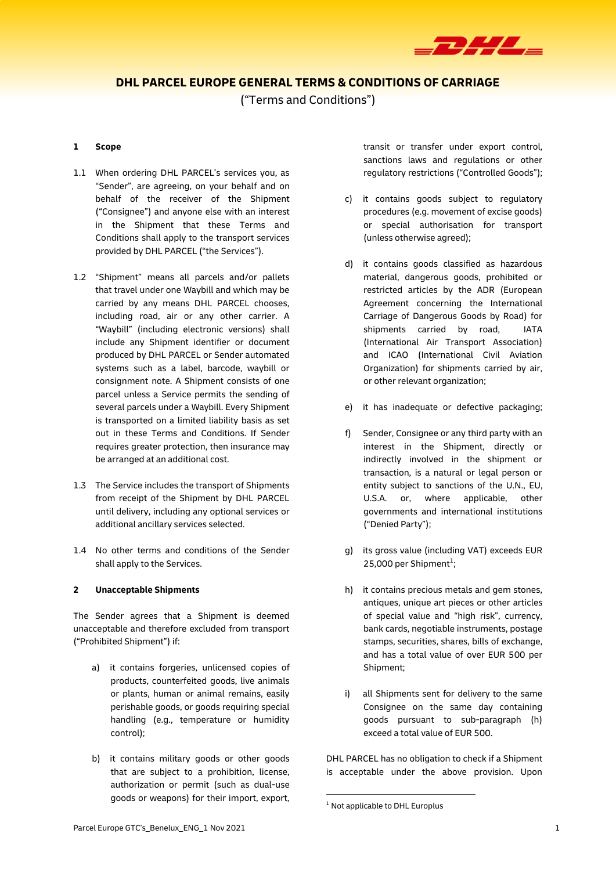

# **DHL PARCEL EUROPE GENERAL TERMS & CONDITIONS OF CARRIAGE**

("Terms and Conditions")

### **1 Scope**

- 1.1 When ordering DHL PARCEL's services you, as "Sender", are agreeing, on your behalf and on behalf of the receiver of the Shipment ("Consignee") and anyone else with an interest in the Shipment that these Terms and Conditions shall apply to the transport services provided by DHL PARCEL ("the Services").
- 1.2 "Shipment" means all parcels and/or pallets that travel under one Waybill and which may be carried by any means DHL PARCEL chooses, including road, air or any other carrier. A "Waybill" (including electronic versions) shall include any Shipment identifier or document produced by DHL PARCEL or Sender automated systems such as a label, barcode, waybill or consignment note. A Shipment consists of one parcel unless a Service permits the sending of several parcels under a Waybill. Every Shipment is transported on a limited liability basis as set out in these Terms and Conditions. If Sender requires greater protection, then insurance may be arranged at an additional cost.
- 1.3 The Service includes the transport of Shipments from receipt of the Shipment by DHL PARCEL until delivery, including any optional services or additional ancillary services selected.
- 1.4 No other terms and conditions of the Sender shall apply to the Services.

#### **2 Unacceptable Shipments**

The Sender agrees that a Shipment is deemed unacceptable and therefore excluded from transport ("Prohibited Shipment") if:

- a) it contains forgeries, unlicensed copies of products, counterfeited goods, live animals or plants, human or animal remains, easily perishable goods, or goods requiring special handling (e.g., temperature or humidity control);
- b) it contains military goods or other goods that are subject to a prohibition, license, authorization or permit (such as dual-use goods or weapons) for their import, export,

transit or transfer under export control, sanctions laws and regulations or other regulatory restrictions ("Controlled Goods");

- c) it contains goods subject to regulatory procedures (e.g. movement of excise goods) or special authorisation for transport (unless otherwise agreed);
- d) it contains goods classified as hazardous material, dangerous goods, prohibited or restricted articles by the ADR (European Agreement concerning the International Carriage of Dangerous Goods by Road) for shipments carried by road, IATA (International Air Transport Association) and ICAO (International Civil Aviation Organization) for shipments carried by air, or other relevant organization;
- e) it has inadequate or defective packaging;
- f) Sender, Consignee or any third party with an interest in the Shipment, directly or indirectly involved in the shipment or transaction, is a natural or legal person or entity subject to sanctions of the U.N., EU, U.S.A. or, where applicable, other governments and international institutions ("Denied Party");
- g) its gross value (including VAT) exceeds EUR 25,000 per Shipment<sup>1</sup>;
- h) it contains precious metals and gem stones, antiques, unique art pieces or other articles of special value and "high risk", currency, bank cards, negotiable instruments, postage stamps, securities, shares, bills of exchange, and has a total value of over EUR 500 per Shipment;
- i) all Shipments sent for delivery to the same Consignee on the same day containing goods pursuant to sub-paragraph (h) exceed a total value of EUR 500.

DHL PARCEL has no obligation to check if a Shipment is acceptable under the above provision. Upon

1

 $1$  Not applicable to DHL Europlus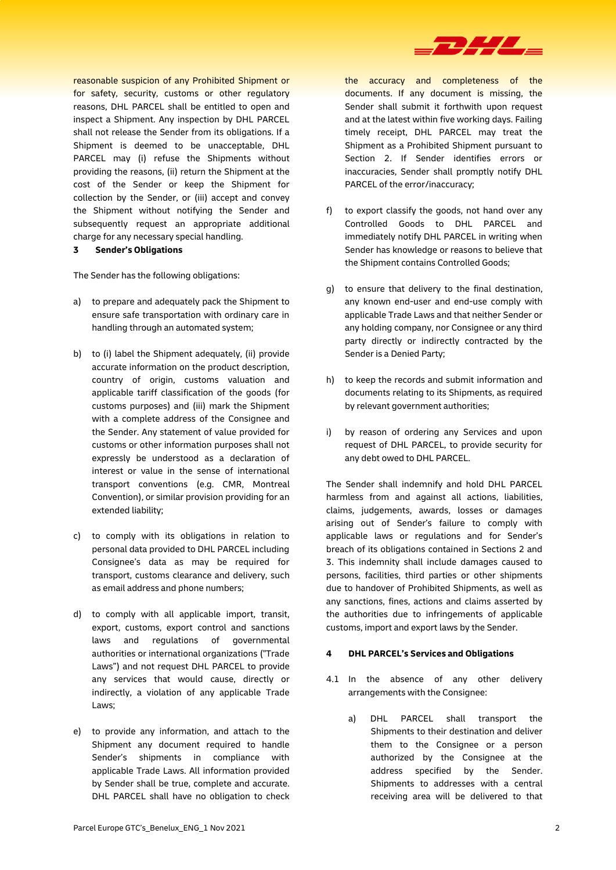

reasonable suspicion of any Prohibited Shipment or for safety, security, customs or other regulatory reasons, DHL PARCEL shall be entitled to open and inspect a Shipment. Any inspection by DHL PARCEL shall not release the Sender from its obligations. If a Shipment is deemed to be unacceptable, DHL PARCEL may (i) refuse the Shipments without providing the reasons, (ii) return the Shipment at the cost of the Sender or keep the Shipment for collection by the Sender, or (iii) accept and convey the Shipment without notifying the Sender and subsequently request an appropriate additional charge for any necessary special handling.

**3 Sender's Obligations**

The Sender has the following obligations:

- a) to prepare and adequately pack the Shipment to ensure safe transportation with ordinary care in handling through an automated system;
- b) to (i) label the Shipment adequately, (ii) provide accurate information on the product description, country of origin, customs valuation and applicable tariff classification of the goods (for customs purposes) and (iii) mark the Shipment with a complete address of the Consignee and the Sender. Any statement of value provided for customs or other information purposes shall not expressly be understood as a declaration of interest or value in the sense of international transport conventions (e.g. CMR, Montreal Convention), or similar provision providing for an extended liability;
- c) to comply with its obligations in relation to personal data provided to DHL PARCEL including Consignee's data as may be required for transport, customs clearance and delivery, such as email address and phone numbers;
- d) to comply with all applicable import, transit, export, customs, export control and sanctions laws and regulations of governmental authorities or international organizations ("Trade Laws") and not request DHL PARCEL to provide any services that would cause, directly or indirectly, a violation of any applicable Trade Laws;
- e) to provide any information, and attach to the Shipment any document required to handle Sender's shipments in compliance with applicable Trade Laws. All information provided by Sender shall be true, complete and accurate. DHL PARCEL shall have no obligation to check

the accuracy and completeness of the documents. If any document is missing, the Sender shall submit it forthwith upon request and at the latest within five working days. Failing timely receipt, DHL PARCEL may treat the Shipment as a Prohibited Shipment pursuant to Section 2. If Sender identifies errors or inaccuracies, Sender shall promptly notify DHL PARCEL of the error/inaccuracy;

- f) to export classify the goods, not hand over any Controlled Goods to DHL PARCEL and immediately notify DHL PARCEL in writing when Sender has knowledge or reasons to believe that the Shipment contains Controlled Goods;
- g) to ensure that delivery to the final destination, any known end-user and end-use comply with applicable Trade Laws and that neither Sender or any holding company, nor Consignee or any third party directly or indirectly contracted by the Sender is a Denied Party;
- h) to keep the records and submit information and documents relating to its Shipments, as required by relevant government authorities;
- i) by reason of ordering any Services and upon request of DHL PARCEL, to provide security for any debt owed to DHL PARCEL.

The Sender shall indemnify and hold DHL PARCEL harmless from and against all actions, liabilities, claims, judgements, awards, losses or damages arising out of Sender's failure to comply with applicable laws or regulations and for Sender's breach of its obligations contained in Sections 2 and 3. This indemnity shall include damages caused to persons, facilities, third parties or other shipments due to handover of Prohibited Shipments, as well as any sanctions, fines, actions and claims asserted by the authorities due to infringements of applicable customs, import and export laws by the Sender.

## **4 DHL PARCEL's Services and Obligations**

- 4.1 In the absence of any other delivery arrangements with the Consignee:
	- a) DHL PARCEL shall transport the Shipments to their destination and deliver them to the Consignee or a person authorized by the Consignee at the address specified by the Sender. Shipments to addresses with a central receiving area will be delivered to that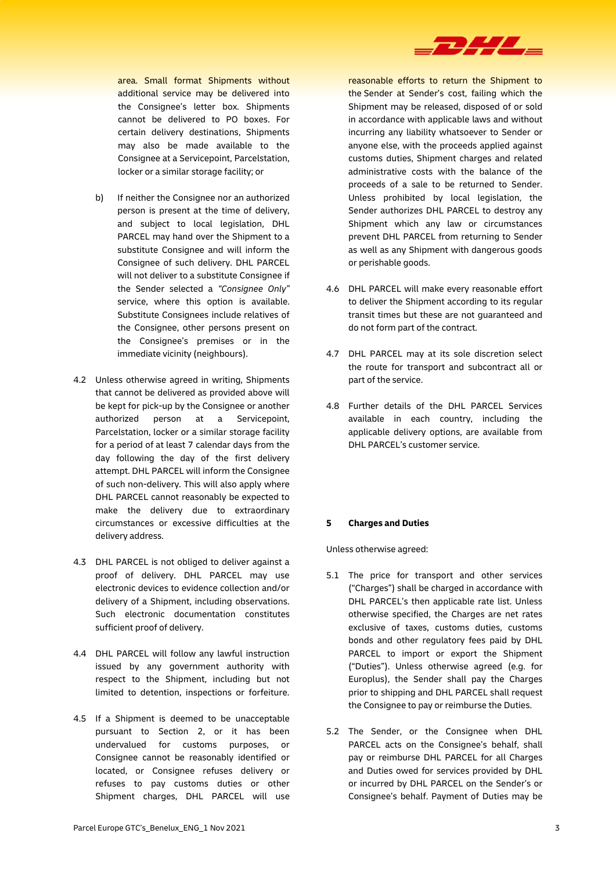

area. Small format Shipments without additional service may be delivered into the Consignee's letter box. Shipments cannot be delivered to PO boxes. For certain delivery destinations, Shipments may also be made available to the Consignee at a Servicepoint, Parcelstation, locker or a similar storage facility; or

- b) If neither the Consignee nor an authorized person is present at the time of delivery, and subject to local legislation, DHL PARCEL may hand over the Shipment to a substitute Consignee and will inform the Consignee of such delivery. DHL PARCEL will not deliver to a substitute Consignee if the Sender selected a *"Consignee Only"* service, where this option is available. Substitute Consignees include relatives of the Consignee, other persons present on the Consignee's premises or in the immediate vicinity (neighbours).
- 4.2 Unless otherwise agreed in writing, Shipments that cannot be delivered as provided above will be kept for pick-up by the Consignee or another authorized person at a Servicepoint, Parcelstation, locker or a similar storage facility for a period of at least 7 calendar days from the day following the day of the first delivery attempt. DHL PARCEL will inform the Consignee of such non-delivery. This will also apply where DHL PARCEL cannot reasonably be expected to make the delivery due to extraordinary circumstances or excessive difficulties at the delivery address.
- 4.3 DHL PARCEL is not obliged to deliver against a proof of delivery. DHL PARCEL may use electronic devices to evidence collection and/or delivery of a Shipment, including observations. Such electronic documentation constitutes sufficient proof of delivery.
- 4.4 DHL PARCEL will follow any lawful instruction issued by any government authority with respect to the Shipment, including but not limited to detention, inspections or forfeiture.
- 4.5 If a Shipment is deemed to be unacceptable pursuant to Section 2, or it has been undervalued for customs purposes, or Consignee cannot be reasonably identified or located, or Consignee refuses delivery or refuses to pay customs duties or other Shipment charges, DHL PARCEL will use

reasonable efforts to return the Shipment to the Sender at Sender's cost, failing which the Shipment may be released, disposed of or sold in accordance with applicable laws and without incurring any liability whatsoever to Sender or anyone else, with the proceeds applied against customs duties, Shipment charges and related administrative costs with the balance of the proceeds of a sale to be returned to Sender. Unless prohibited by local legislation, the Sender authorizes DHL PARCEL to destroy any Shipment which any law or circumstances prevent DHL PARCEL from returning to Sender as well as any Shipment with dangerous goods or perishable goods.

- 4.6 DHL PARCEL will make every reasonable effort to deliver the Shipment according to its regular transit times but these are not guaranteed and do not form part of the contract.
- 4.7 DHL PARCEL may at its sole discretion select the route for transport and subcontract all or part of the service.
- 4.8 Further details of the DHL PARCEL Services available in each country, including the applicable delivery options, are available from DHL PARCEL's customer service.

# **5 Charges and Duties**

Unless otherwise agreed:

- 5.1 The price for transport and other services ("Charges") shall be charged in accordance with DHL PARCEL's then applicable rate list. Unless otherwise specified, the Charges are net rates exclusive of taxes, customs duties, customs bonds and other regulatory fees paid by DHL PARCEL to import or export the Shipment ("Duties"). Unless otherwise agreed (e.g. for Europlus), the Sender shall pay the Charges prior to shipping and DHL PARCEL shall request the Consignee to pay or reimburse the Duties.
- 5.2 The Sender, or the Consignee when DHL PARCEL acts on the Consignee's behalf, shall pay or reimburse DHL PARCEL for all Charges and Duties owed for services provided by DHL or incurred by DHL PARCEL on the Sender's or Consignee's behalf. Payment of Duties may be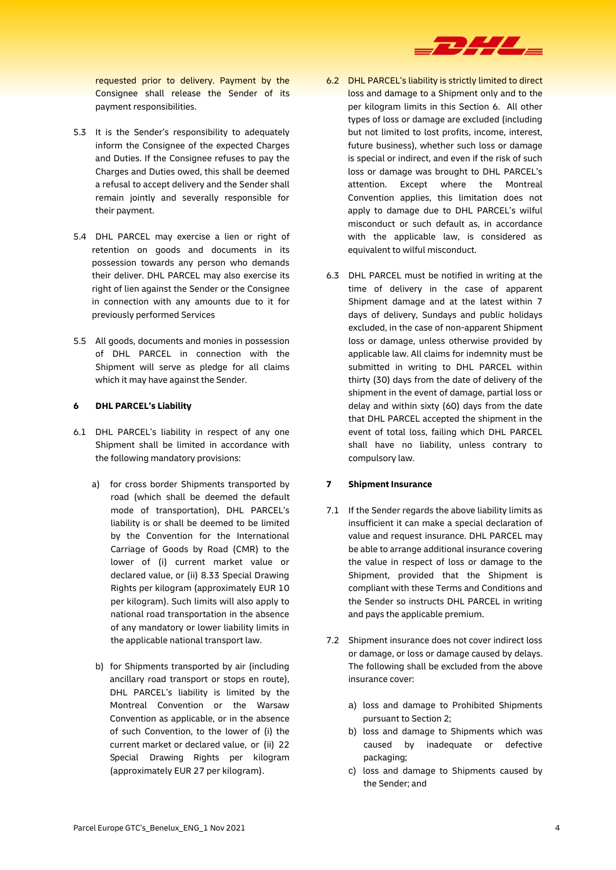

requested prior to delivery. Payment by the Consignee shall release the Sender of its payment responsibilities.

- 5.3 It is the Sender's responsibility to adequately inform the Consignee of the expected Charges and Duties. If the Consignee refuses to pay the Charges and Duties owed, this shall be deemed a refusal to accept delivery and the Sender shall remain jointly and severally responsible for their payment.
- 5.4 DHL PARCEL may exercise a lien or right of retention on goods and documents in its possession towards any person who demands their deliver. DHL PARCEL may also exercise its right of lien against the Sender or the Consignee in connection with any amounts due to it for previously performed Services
- 5.5 All goods, documents and monies in possession of DHL PARCEL in connection with the Shipment will serve as pledge for all claims which it may have against the Sender.

#### **6 DHL PARCEL's Liability**

- 6.1 DHL PARCEL's liability in respect of any one Shipment shall be limited in accordance with the following mandatory provisions:
	- a) for cross border Shipments transported by road (which shall be deemed the default mode of transportation), DHL PARCEL's liability is or shall be deemed to be limited by the Convention for the International Carriage of Goods by Road (CMR) to the lower of (i) current market value or declared value, or (ii) 8.33 Special Drawing Rights per kilogram (approximately EUR 10 per kilogram). Such limits will also apply to national road transportation in the absence of any mandatory or lower liability limits in the applicable national transport law.
	- b) for Shipments transported by air (including ancillary road transport or stops en route), DHL PARCEL's liability is limited by the Montreal Convention or the Warsaw Convention as applicable, or in the absence of such Convention, to the lower of (i) the current market or declared value, or (ii) 22 Special Drawing Rights per kilogram (approximately EUR 27 per kilogram).
- 6.2 DHL PARCEL's liability is strictly limited to direct loss and damage to a Shipment only and to the per kilogram limits in this Section 6. All other types of loss or damage are excluded (including but not limited to lost profits, income, interest, future business), whether such loss or damage is special or indirect, and even if the risk of such loss or damage was brought to DHL PARCEL's attention. Except where the Montreal Convention applies, this limitation does not apply to damage due to DHL PARCEL's wilful misconduct or such default as, in accordance with the applicable law, is considered as equivalent to wilful misconduct.
- 6.3 DHL PARCEL must be notified in writing at the time of delivery in the case of apparent Shipment damage and at the latest within 7 days of delivery, Sundays and public holidays excluded, in the case of non-apparent Shipment loss or damage, unless otherwise provided by applicable law. All claims for indemnity must be submitted in writing to DHL PARCEL within thirty (30) days from the date of delivery of the shipment in the event of damage, partial loss or delay and within sixty (60) days from the date that DHL PARCEL accepted the shipment in the event of total loss, failing which DHL PARCEL shall have no liability, unless contrary to compulsory law.

#### **7 Shipment Insurance**

- 7.1 If the Sender regards the above liability limits as insufficient it can make a special declaration of value and request insurance. DHL PARCEL may be able to arrange additional insurance covering the value in respect of loss or damage to the Shipment, provided that the Shipment is compliant with these Terms and Conditions and the Sender so instructs DHL PARCEL in writing and pays the applicable premium.
- 7.2 Shipment insurance does not cover indirect loss or damage, or loss or damage caused by delays. The following shall be excluded from the above insurance cover:
	- a) loss and damage to Prohibited Shipments pursuant to Section 2;
	- b) loss and damage to Shipments which was caused by inadequate or defective packaging;
	- c) loss and damage to Shipments caused by the Sender; and